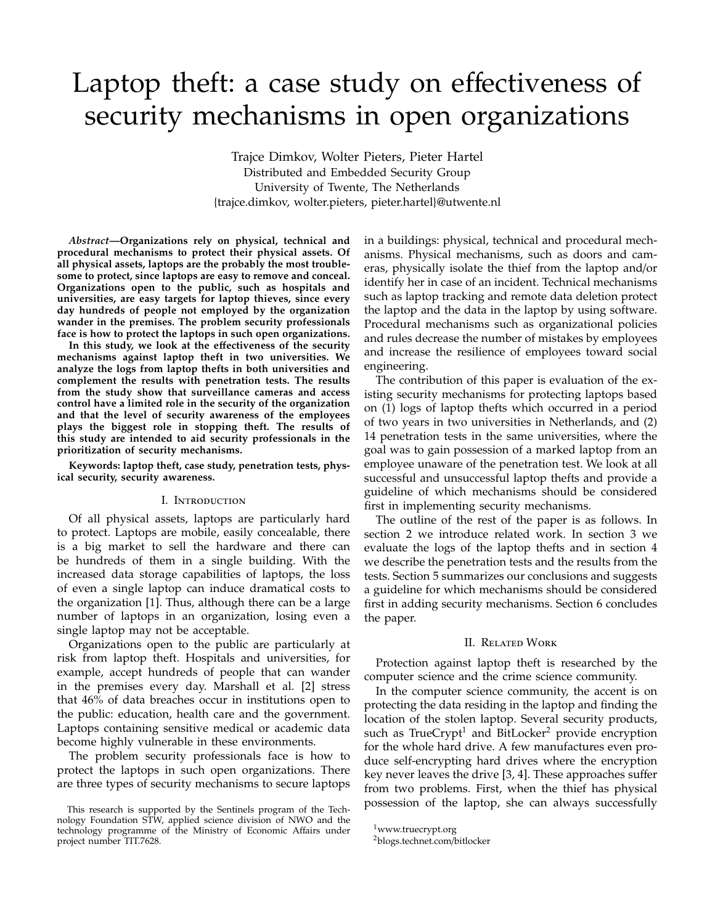# Laptop theft: a case study on effectiveness of security mechanisms in open organizations

Trajce Dimkov, Wolter Pieters, Pieter Hartel Distributed and Embedded Security Group University of Twente, The Netherlands {trajce.dimkov, wolter.pieters, pieter.hartel}@utwente.nl

*Abstract***—Organizations rely on physical, technical and procedural mechanisms to protect their physical assets. Of all physical assets, laptops are the probably the most troublesome to protect, since laptops are easy to remove and conceal. Organizations open to the public, such as hospitals and universities, are easy targets for laptop thieves, since every day hundreds of people not employed by the organization wander in the premises. The problem security professionals face is how to protect the laptops in such open organizations.**

**In this study, we look at the e**ff**ectiveness of the security mechanisms against laptop theft in two universities. We analyze the logs from laptop thefts in both universities and complement the results with penetration tests. The results from the study show that surveillance cameras and access control have a limited role in the security of the organization and that the level of security awareness of the employees plays the biggest role in stopping theft. The results of this study are intended to aid security professionals in the prioritization of security mechanisms.**

**Keywords: laptop theft, case study, penetration tests, physical security, security awareness.**

## I. Introduction

Of all physical assets, laptops are particularly hard to protect. Laptops are mobile, easily concealable, there is a big market to sell the hardware and there can be hundreds of them in a single building. With the increased data storage capabilities of laptops, the loss of even a single laptop can induce dramatical costs to the organization [1]. Thus, although there can be a large number of laptops in an organization, losing even a single laptop may not be acceptable.

Organizations open to the public are particularly at risk from laptop theft. Hospitals and universities, for example, accept hundreds of people that can wander in the premises every day. Marshall et al. [2] stress that 46% of data breaches occur in institutions open to the public: education, health care and the government. Laptops containing sensitive medical or academic data become highly vulnerable in these environments.

The problem security professionals face is how to protect the laptops in such open organizations. There are three types of security mechanisms to secure laptops

in a buildings: physical, technical and procedural mechanisms. Physical mechanisms, such as doors and cameras, physically isolate the thief from the laptop and/or identify her in case of an incident. Technical mechanisms such as laptop tracking and remote data deletion protect the laptop and the data in the laptop by using software. Procedural mechanisms such as organizational policies and rules decrease the number of mistakes by employees and increase the resilience of employees toward social engineering.

The contribution of this paper is evaluation of the existing security mechanisms for protecting laptops based on (1) logs of laptop thefts which occurred in a period of two years in two universities in Netherlands, and (2) 14 penetration tests in the same universities, where the goal was to gain possession of a marked laptop from an employee unaware of the penetration test. We look at all successful and unsuccessful laptop thefts and provide a guideline of which mechanisms should be considered first in implementing security mechanisms.

The outline of the rest of the paper is as follows. In section 2 we introduce related work. In section 3 we evaluate the logs of the laptop thefts and in section 4 we describe the penetration tests and the results from the tests. Section 5 summarizes our conclusions and suggests a guideline for which mechanisms should be considered first in adding security mechanisms. Section 6 concludes the paper.

#### II. Related Work

Protection against laptop theft is researched by the computer science and the crime science community.

In the computer science community, the accent is on protecting the data residing in the laptop and finding the location of the stolen laptop. Several security products, such as TrueCrypt<sup>1</sup> and BitLocker<sup>2</sup> provide encryption for the whole hard drive. A few manufactures even produce self-encrypting hard drives where the encryption key never leaves the drive [3, 4]. These approaches suffer from two problems. First, when the thief has physical possession of the laptop, she can always successfully

This research is supported by the Sentinels program of the Technology Foundation STW, applied science division of NWO and the technology programme of the Ministry of Economic Affairs under project number TIT.7628.

<sup>1</sup>www.truecrypt.org

<sup>2</sup>blogs.technet.com/bitlocker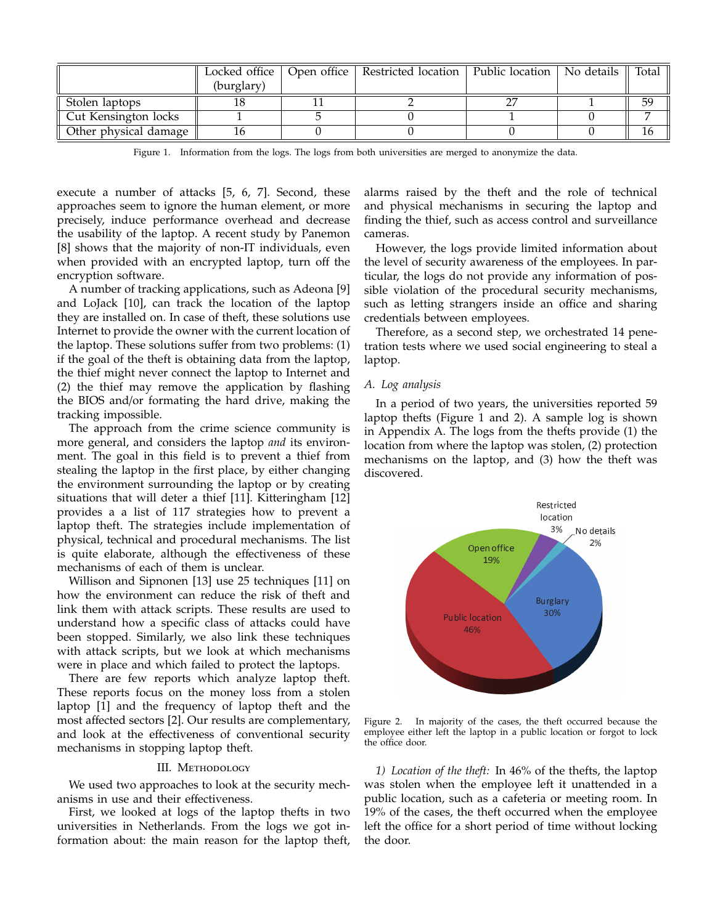|                       |            | Locked office   Open office   Restricted location   Public location   No details |  | ll Total l |
|-----------------------|------------|----------------------------------------------------------------------------------|--|------------|
|                       | (burglary) |                                                                                  |  |            |
| Stolen laptops        |            |                                                                                  |  | 59         |
| Cut Kensington locks  |            |                                                                                  |  |            |
| Other physical damage | 16         |                                                                                  |  |            |

Figure 1. Information from the logs. The logs from both universities are merged to anonymize the data.

execute a number of attacks [5, 6, 7]. Second, these approaches seem to ignore the human element, or more precisely, induce performance overhead and decrease the usability of the laptop. A recent study by Panemon [8] shows that the majority of non-IT individuals, even when provided with an encrypted laptop, turn off the encryption software.

A number of tracking applications, such as Adeona [9] and LoJack [10], can track the location of the laptop they are installed on. In case of theft, these solutions use Internet to provide the owner with the current location of the laptop. These solutions suffer from two problems: (1) if the goal of the theft is obtaining data from the laptop, the thief might never connect the laptop to Internet and (2) the thief may remove the application by flashing the BIOS and/or formating the hard drive, making the tracking impossible.

The approach from the crime science community is more general, and considers the laptop *and* its environment. The goal in this field is to prevent a thief from stealing the laptop in the first place, by either changing the environment surrounding the laptop or by creating situations that will deter a thief [11]. Kitteringham [12] provides a a list of 117 strategies how to prevent a laptop theft. The strategies include implementation of physical, technical and procedural mechanisms. The list is quite elaborate, although the effectiveness of these mechanisms of each of them is unclear.

Willison and Sipnonen [13] use 25 techniques [11] on how the environment can reduce the risk of theft and link them with attack scripts. These results are used to understand how a specific class of attacks could have been stopped. Similarly, we also link these techniques with attack scripts, but we look at which mechanisms were in place and which failed to protect the laptops.

There are few reports which analyze laptop theft. These reports focus on the money loss from a stolen laptop [1] and the frequency of laptop theft and the most affected sectors [2]. Our results are complementary, and look at the effectiveness of conventional security mechanisms in stopping laptop theft.

## III. METHODOLOGY

We used two approaches to look at the security mechanisms in use and their effectiveness.

First, we looked at logs of the laptop thefts in two universities in Netherlands. From the logs we got information about: the main reason for the laptop theft, alarms raised by the theft and the role of technical and physical mechanisms in securing the laptop and finding the thief, such as access control and surveillance cameras.

However, the logs provide limited information about the level of security awareness of the employees. In particular, the logs do not provide any information of possible violation of the procedural security mechanisms, such as letting strangers inside an office and sharing credentials between employees.

Therefore, as a second step, we orchestrated 14 penetration tests where we used social engineering to steal a laptop.

## *A. Log analysis*

In a period of two years, the universities reported 59 laptop thefts (Figure 1 and 2). A sample log is shown in Appendix A. The logs from the thefts provide (1) the location from where the laptop was stolen, (2) protection mechanisms on the laptop, and (3) how the theft was discovered.



Figure 2. In majority of the cases, the theft occurred because the employee either left the laptop in a public location or forgot to lock the office door.

*1) Location of the theft:* In 46% of the thefts, the laptop was stolen when the employee left it unattended in a public location, such as a cafeteria or meeting room. In 19% of the cases, the theft occurred when the employee left the office for a short period of time without locking the door.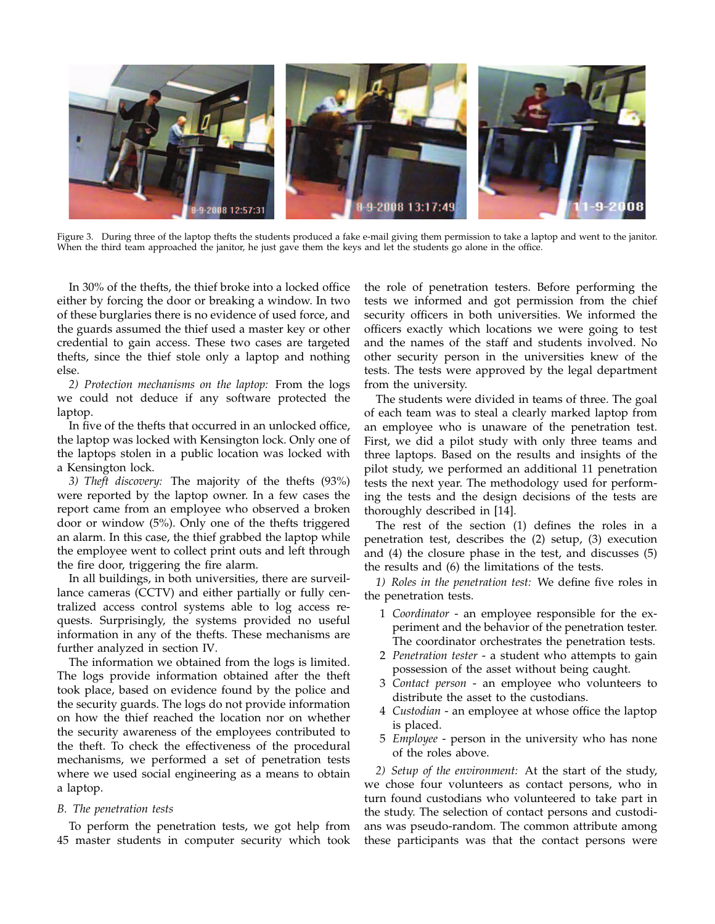

Figure 3. During three of the laptop thefts the students produced a fake e-mail giving them permission to take a laptop and went to the janitor. When the third team approached the janitor, he just gave them the keys and let the students go alone in the office.

In 30% of the thefts, the thief broke into a locked office either by forcing the door or breaking a window. In two of these burglaries there is no evidence of used force, and the guards assumed the thief used a master key or other credential to gain access. These two cases are targeted thefts, since the thief stole only a laptop and nothing else.

*2) Protection mechanisms on the laptop:* From the logs we could not deduce if any software protected the laptop.

In five of the thefts that occurred in an unlocked office, the laptop was locked with Kensington lock. Only one of the laptops stolen in a public location was locked with a Kensington lock.

*3) Theft discovery:* The majority of the thefts (93%) were reported by the laptop owner. In a few cases the report came from an employee who observed a broken door or window (5%). Only one of the thefts triggered an alarm. In this case, the thief grabbed the laptop while the employee went to collect print outs and left through the fire door, triggering the fire alarm.

In all buildings, in both universities, there are surveillance cameras (CCTV) and either partially or fully centralized access control systems able to log access requests. Surprisingly, the systems provided no useful information in any of the thefts. These mechanisms are further analyzed in section IV.

The information we obtained from the logs is limited. The logs provide information obtained after the theft took place, based on evidence found by the police and the security guards. The logs do not provide information on how the thief reached the location nor on whether the security awareness of the employees contributed to the theft. To check the effectiveness of the procedural mechanisms, we performed a set of penetration tests where we used social engineering as a means to obtain a laptop.

# *B. The penetration tests*

To perform the penetration tests, we got help from 45 master students in computer security which took

the role of penetration testers. Before performing the tests we informed and got permission from the chief security officers in both universities. We informed the officers exactly which locations we were going to test and the names of the staff and students involved. No other security person in the universities knew of the tests. The tests were approved by the legal department from the university.

The students were divided in teams of three. The goal of each team was to steal a clearly marked laptop from an employee who is unaware of the penetration test. First, we did a pilot study with only three teams and three laptops. Based on the results and insights of the pilot study, we performed an additional 11 penetration tests the next year. The methodology used for performing the tests and the design decisions of the tests are thoroughly described in [14].

The rest of the section (1) defines the roles in a penetration test, describes the (2) setup, (3) execution and (4) the closure phase in the test, and discusses (5) the results and (6) the limitations of the tests.

*1) Roles in the penetration test:* We define five roles in the penetration tests.

- 1 *Coordinator* an employee responsible for the experiment and the behavior of the penetration tester. The coordinator orchestrates the penetration tests.
- 2 *Penetration tester* a student who attempts to gain possession of the asset without being caught.
- 3 *Contact person* an employee who volunteers to distribute the asset to the custodians.
- 4 *Custodian* an employee at whose office the laptop is placed.
- 5 *Employee* person in the university who has none of the roles above.

*2) Setup of the environment:* At the start of the study, we chose four volunteers as contact persons, who in turn found custodians who volunteered to take part in the study. The selection of contact persons and custodians was pseudo-random. The common attribute among these participants was that the contact persons were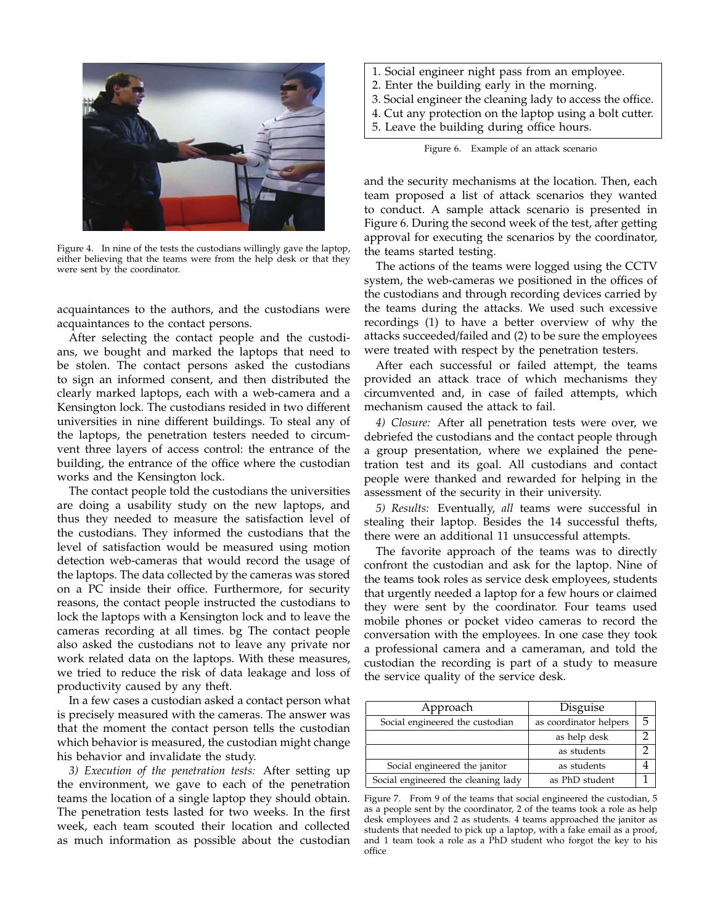

Figure 4. In nine of the tests the custodians willingly gave the laptop, either believing that the teams were from the help desk or that they were sent by the coordinator.

acquaintances to the authors, and the custodians were acquaintances to the contact persons.

After selecting the contact people and the custodians, we bought and marked the laptops that need to be stolen. The contact persons asked the custodians to sign an informed consent, and then distributed the clearly marked laptops, each with a web-camera and a Kensington lock. The custodians resided in two different universities in nine different buildings. To steal any of the laptops, the penetration testers needed to circumvent three layers of access control: the entrance of the building, the entrance of the office where the custodian works and the Kensington lock.

The contact people told the custodians the universities are doing a usability study on the new laptops, and thus they needed to measure the satisfaction level of the custodians. They informed the custodians that the level of satisfaction would be measured using motion detection web-cameras that would record the usage of the laptops. The data collected by the cameras was stored on a PC inside their office. Furthermore, for security reasons, the contact people instructed the custodians to lock the laptops with a Kensington lock and to leave the cameras recording at all times. bg The contact people also asked the custodians not to leave any private nor work related data on the laptops. With these measures, we tried to reduce the risk of data leakage and loss of productivity caused by any theft.

In a few cases a custodian asked a contact person what is precisely measured with the cameras. The answer was that the moment the contact person tells the custodian which behavior is measured, the custodian might change his behavior and invalidate the study.

*3) Execution of the penetration tests:* After setting up the environment, we gave to each of the penetration teams the location of a single laptop they should obtain. The penetration tests lasted for two weeks. In the first week, each team scouted their location and collected as much information as possible about the custodian

- 1. Social engineer night pass from an employee.
- 2. Enter the building early in the morning.
- 3. Social engineer the cleaning lady to access the office.
- 4. Cut any protection on the laptop using a bolt cutter.
- 5. Leave the building during office hours.

Figure 6. Example of an attack scenario

and the security mechanisms at the location. Then, each team proposed a list of attack scenarios they wanted to conduct. A sample attack scenario is presented in Figure 6. During the second week of the test, after getting approval for executing the scenarios by the coordinator, the teams started testing.

The actions of the teams were logged using the CCTV system, the web-cameras we positioned in the offices of the custodians and through recording devices carried by the teams during the attacks. We used such excessive recordings (1) to have a better overview of why the attacks succeeded/failed and (2) to be sure the employees were treated with respect by the penetration testers.

After each successful or failed attempt, the teams provided an attack trace of which mechanisms they circumvented and, in case of failed attempts, which mechanism caused the attack to fail.

*4) Closure:* After all penetration tests were over, we debriefed the custodians and the contact people through a group presentation, where we explained the penetration test and its goal. All custodians and contact people were thanked and rewarded for helping in the assessment of the security in their university.

*5) Results:* Eventually, *all* teams were successful in stealing their laptop. Besides the 14 successful thefts, there were an additional 11 unsuccessful attempts.

The favorite approach of the teams was to directly confront the custodian and ask for the laptop. Nine of the teams took roles as service desk employees, students that urgently needed a laptop for a few hours or claimed they were sent by the coordinator. Four teams used mobile phones or pocket video cameras to record the conversation with the employees. In one case they took a professional camera and a cameraman, and told the custodian the recording is part of a study to measure the service quality of the service desk.

| Approach                            | Disguise               |   |
|-------------------------------------|------------------------|---|
| Social engineered the custodian     | as coordinator helpers | 5 |
|                                     | as help desk           |   |
|                                     | as students            |   |
| Social engineered the janitor       | as students            |   |
| Social engineered the cleaning lady | as PhD student         |   |

Figure 7. From 9 of the teams that social engineered the custodian, 5 as a people sent by the coordinator, 2 of the teams took a role as help desk employees and 2 as students. 4 teams approached the janitor as students that needed to pick up a laptop, with a fake email as a proof, and 1 team took a role as a PhD student who forgot the key to his office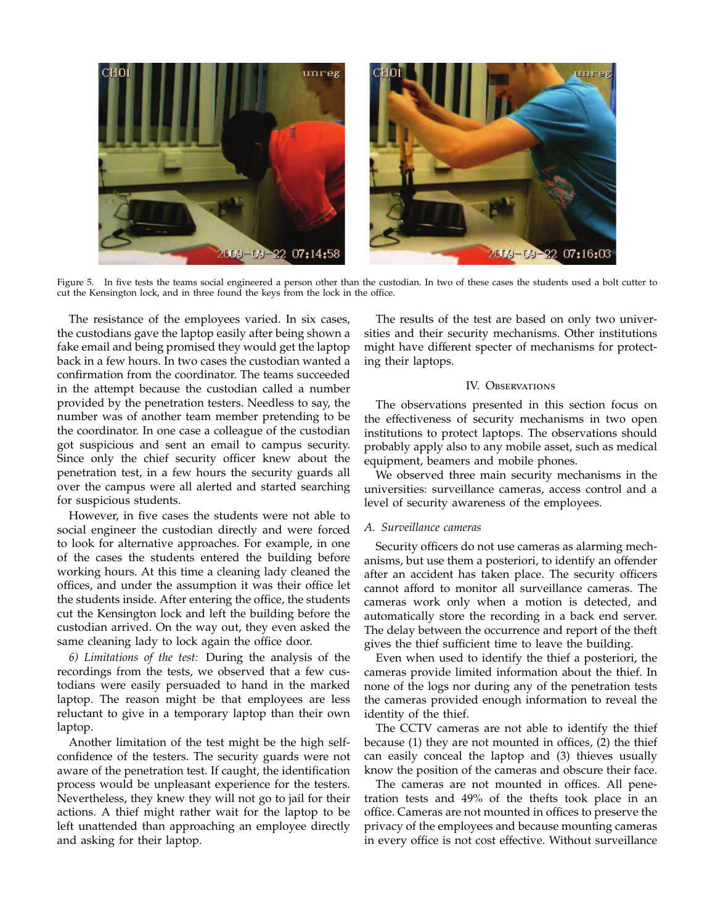

Figure 5. In five tests the teams social engineered a person other than the custodian. In two of these cases the students used a bolt cutter to cut the Kensington lock, and in three found the keys from the lock in the office.

The resistance of the employees varied. In six cases, the custodians gave the laptop easily after being shown a fake email and being promised they would get the laptop back in a few hours. In two cases the custodian wanted a confirmation from the coordinator. The teams succeeded in the attempt because the custodian called a number provided by the penetration testers. Needless to say, the number was of another team member pretending to be the coordinator. In one case a colleague of the custodian got suspicious and sent an email to campus security. Since only the chief security officer knew about the penetration test, in a few hours the security guards all over the campus were all alerted and started searching for suspicious students.

However, in five cases the students were not able to social engineer the custodian directly and were forced to look for alternative approaches. For example, in one of the cases the students entered the building before working hours. At this time a cleaning lady cleaned the offices, and under the assumption it was their office let the students inside. After entering the office, the students cut the Kensington lock and left the building before the custodian arrived. On the way out, they even asked the same cleaning lady to lock again the office door.

*6) Limitations of the test:* During the analysis of the recordings from the tests, we observed that a few custodians were easily persuaded to hand in the marked laptop. The reason might be that employees are less reluctant to give in a temporary laptop than their own laptop.

Another limitation of the test might be the high selfconfidence of the testers. The security guards were not aware of the penetration test. If caught, the identification process would be unpleasant experience for the testers. Nevertheless, they knew they will not go to jail for their actions. A thief might rather wait for the laptop to be left unattended than approaching an employee directly and asking for their laptop.

The results of the test are based on only two universities and their security mechanisms. Other institutions might have different specter of mechanisms for protecting their laptops.

# IV. OBSERVATIONS

The observations presented in this section focus on the effectiveness of security mechanisms in two open institutions to protect laptops. The observations should probably apply also to any mobile asset, such as medical equipment, beamers and mobile phones.

We observed three main security mechanisms in the universities: surveillance cameras, access control and a level of security awareness of the employees.

## *A. Surveillance cameras*

Security officers do not use cameras as alarming mechanisms, but use them a posteriori, to identify an offender after an accident has taken place. The security officers cannot afford to monitor all surveillance cameras. The cameras work only when a motion is detected, and automatically store the recording in a back end server. The delay between the occurrence and report of the theft gives the thief sufficient time to leave the building.

Even when used to identify the thief a posteriori, the cameras provide limited information about the thief. In none of the logs nor during any of the penetration tests the cameras provided enough information to reveal the identity of the thief.

The CCTV cameras are not able to identify the thief because (1) they are not mounted in offices, (2) the thief can easily conceal the laptop and (3) thieves usually know the position of the cameras and obscure their face.

The cameras are not mounted in offices. All penetration tests and 49% of the thefts took place in an office. Cameras are not mounted in offices to preserve the privacy of the employees and because mounting cameras in every office is not cost effective. Without surveillance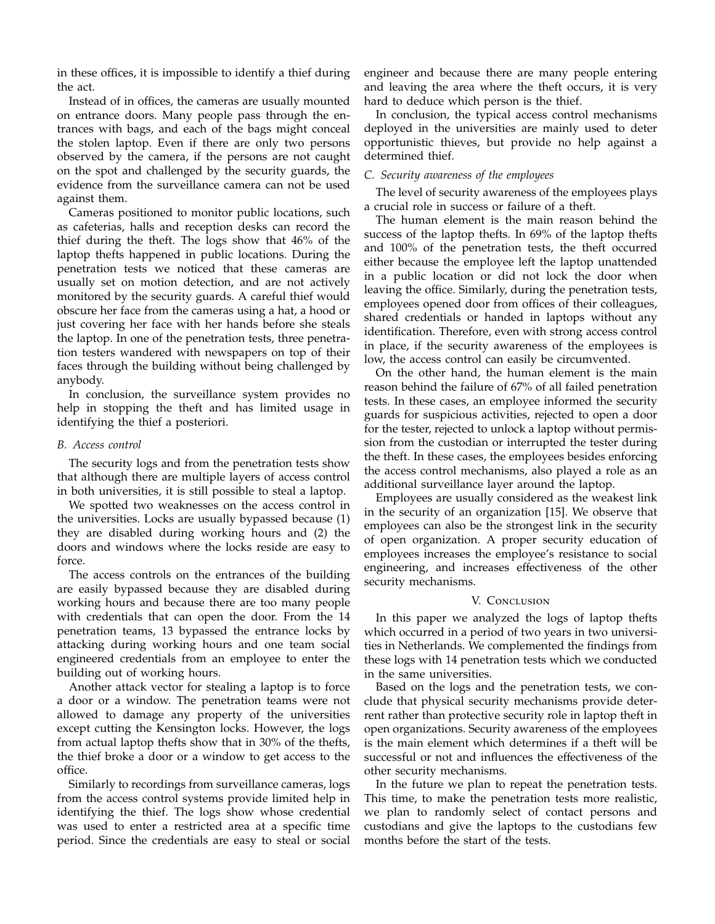in these offices, it is impossible to identify a thief during the act.

Instead of in offices, the cameras are usually mounted on entrance doors. Many people pass through the entrances with bags, and each of the bags might conceal the stolen laptop. Even if there are only two persons observed by the camera, if the persons are not caught on the spot and challenged by the security guards, the evidence from the surveillance camera can not be used against them.

Cameras positioned to monitor public locations, such as cafeterias, halls and reception desks can record the thief during the theft. The logs show that 46% of the laptop thefts happened in public locations. During the penetration tests we noticed that these cameras are usually set on motion detection, and are not actively monitored by the security guards. A careful thief would obscure her face from the cameras using a hat, a hood or just covering her face with her hands before she steals the laptop. In one of the penetration tests, three penetration testers wandered with newspapers on top of their faces through the building without being challenged by anybody.

In conclusion, the surveillance system provides no help in stopping the theft and has limited usage in identifying the thief a posteriori.

## *B. Access control*

The security logs and from the penetration tests show that although there are multiple layers of access control in both universities, it is still possible to steal a laptop.

We spotted two weaknesses on the access control in the universities. Locks are usually bypassed because (1) they are disabled during working hours and (2) the doors and windows where the locks reside are easy to force.

The access controls on the entrances of the building are easily bypassed because they are disabled during working hours and because there are too many people with credentials that can open the door. From the 14 penetration teams, 13 bypassed the entrance locks by attacking during working hours and one team social engineered credentials from an employee to enter the building out of working hours.

Another attack vector for stealing a laptop is to force a door or a window. The penetration teams were not allowed to damage any property of the universities except cutting the Kensington locks. However, the logs from actual laptop thefts show that in 30% of the thefts, the thief broke a door or a window to get access to the office.

Similarly to recordings from surveillance cameras, logs from the access control systems provide limited help in identifying the thief. The logs show whose credential was used to enter a restricted area at a specific time period. Since the credentials are easy to steal or social

engineer and because there are many people entering and leaving the area where the theft occurs, it is very hard to deduce which person is the thief.

In conclusion, the typical access control mechanisms deployed in the universities are mainly used to deter opportunistic thieves, but provide no help against a determined thief.

## *C. Security awareness of the employees*

The level of security awareness of the employees plays a crucial role in success or failure of a theft.

The human element is the main reason behind the success of the laptop thefts. In 69% of the laptop thefts and 100% of the penetration tests, the theft occurred either because the employee left the laptop unattended in a public location or did not lock the door when leaving the office. Similarly, during the penetration tests, employees opened door from offices of their colleagues, shared credentials or handed in laptops without any identification. Therefore, even with strong access control in place, if the security awareness of the employees is low, the access control can easily be circumvented.

On the other hand, the human element is the main reason behind the failure of 67% of all failed penetration tests. In these cases, an employee informed the security guards for suspicious activities, rejected to open a door for the tester, rejected to unlock a laptop without permission from the custodian or interrupted the tester during the theft. In these cases, the employees besides enforcing the access control mechanisms, also played a role as an additional surveillance layer around the laptop.

Employees are usually considered as the weakest link in the security of an organization [15]. We observe that employees can also be the strongest link in the security of open organization. A proper security education of employees increases the employee's resistance to social engineering, and increases effectiveness of the other security mechanisms.

# V. Conclusion

In this paper we analyzed the logs of laptop thefts which occurred in a period of two years in two universities in Netherlands. We complemented the findings from these logs with 14 penetration tests which we conducted in the same universities.

Based on the logs and the penetration tests, we conclude that physical security mechanisms provide deterrent rather than protective security role in laptop theft in open organizations. Security awareness of the employees is the main element which determines if a theft will be successful or not and influences the effectiveness of the other security mechanisms.

In the future we plan to repeat the penetration tests. This time, to make the penetration tests more realistic, we plan to randomly select of contact persons and custodians and give the laptops to the custodians few months before the start of the tests.